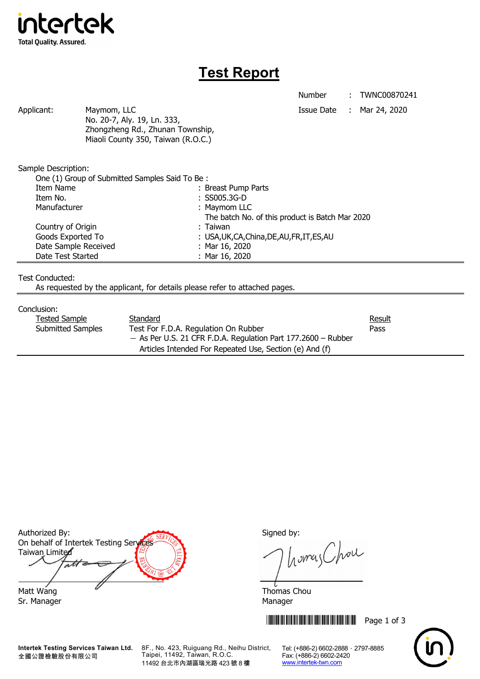

## **Test Report**

Number : TWNC00870241

Applicant: Maymom, LLC Maymon, ILC Applicant: Mar 24, 2020 No. 20-7, Aly. 19, Ln. 333, Zhongzheng Rd., Zhunan Township, Miaoli County 350, Taiwan (R.O.C.)

Sample Description:

| One (1) Group of Submitted Samples Said To Be: |                                                 |  |  |
|------------------------------------------------|-------------------------------------------------|--|--|
| Item Name                                      | : Breast Pump Parts                             |  |  |
| Item No.                                       | $:$ SS005.3G-D                                  |  |  |
| Manufacturer                                   | : Maymom LLC                                    |  |  |
|                                                | The batch No. of this product is Batch Mar 2020 |  |  |
| Country of Origin                              | : Taiwan                                        |  |  |
| Goods Exported To                              | : USA, UK, CA, China, DE, AU, FR, IT, ES, AU    |  |  |
| Date Sample Received                           | : Mar $16, 2020$                                |  |  |
| Date Test Started                              | : Mar $16, 2020$                                |  |  |

Test Conducted:

As requested by the applicant, for details please refer to attached pages.

## Conclusion:

| Tested Sample |                          | Standard                                                        | <b>Result</b> |
|---------------|--------------------------|-----------------------------------------------------------------|---------------|
|               | <b>Submitted Samples</b> | Test For F.D.A. Regulation On Rubber                            | Pass          |
|               |                          | $-$ As Per U.S. 21 CFR F.D.A. Regulation Part 177.2600 – Rubber |               |
|               |                          | Articles Intended For Repeated Use, Section (e) And (f)         |               |

Authorized By: Signed by: On behalf of Intertek Testing Services Taiwan Limited  $\overline{\mathcal{A}}$ Matt Wang  $\overline{a}$  Matt Wang

Sr. Manager Manager Manager Manager Manager

**Intertek Testing Services Taiwan Ltd.** 全國公證檢驗股份有限公司

8F., No. 423, Ruiguang Rd., Neihu District, Taipei, 11492, Taiwan, R.O.C. 11492 台北市內湖區瑞光路 423 號 8 樓

homas Chou

**THEFT THEFT THEFT THEFT THEFT THEFT THEFT THEFT THEFT THEFT THEFT THEFT THEFT THEFT THEFT THEFT THEFT THEFT TH** 

Tel: (+886-2) 6602-2888 · 2797-8885 Fax: (+886-2) 6602-2420 www.intertek-twn.com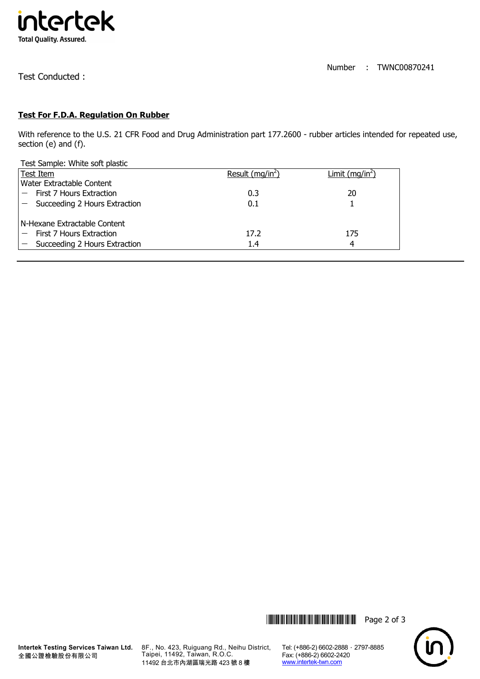

Test Conducted :

## **Test For F.D.A. Regulation On Rubber**

With reference to the U.S. 21 CFR Food and Drug Administration part 177.2600 - rubber articles intended for repeated use, section (e) and (f).

Test Sample: White soft plastic

| Test Item                     | Result ( $mq/in2$ ) | Limit $(mq/in2)$ |
|-------------------------------|---------------------|------------------|
| Water Extractable Content     |                     |                  |
| First 7 Hours Extraction      | 0.3                 | 20               |
| Succeeding 2 Hours Extraction | 0.1                 |                  |
| N-Hexane Extractable Content  |                     |                  |
| First 7 Hours Extraction      | 17.2                | 175              |
| Succeeding 2 Hours Extraction | 1.4                 | 4                |





8F., No. 423, Ruiguang Rd., Neihu District, Taipei, 11492, Taiwan, R.O.C. 11492 台北市內湖區瑞光路 423 號 8 樓

Tel: (+886-2) 6602-2888 · 2797-8885 Fax: (+886-2) 6602-2420 www.intertek-twn.com